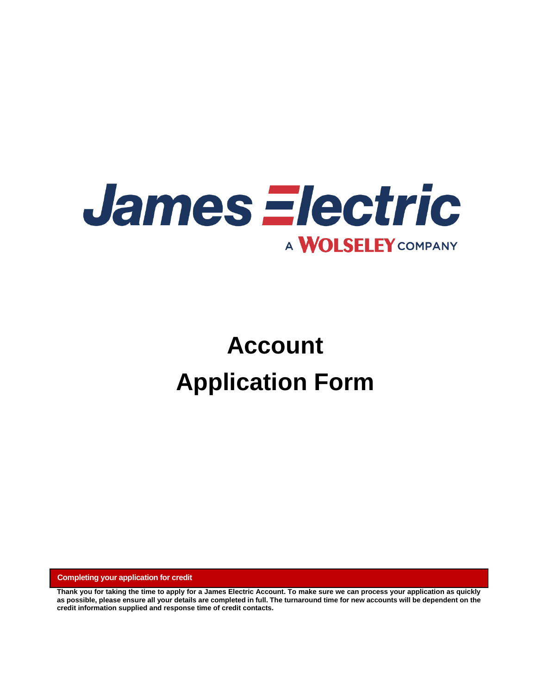

## **Account Application Form**

**Completing your application for credit**

**Thank you for taking the time to apply for a James Electric Account. To make sure we can process your application as quickly as possible, please ensure all your details are completed in full. The turnaround time for new accounts will be dependent on the credit information supplied and response time of credit contacts.**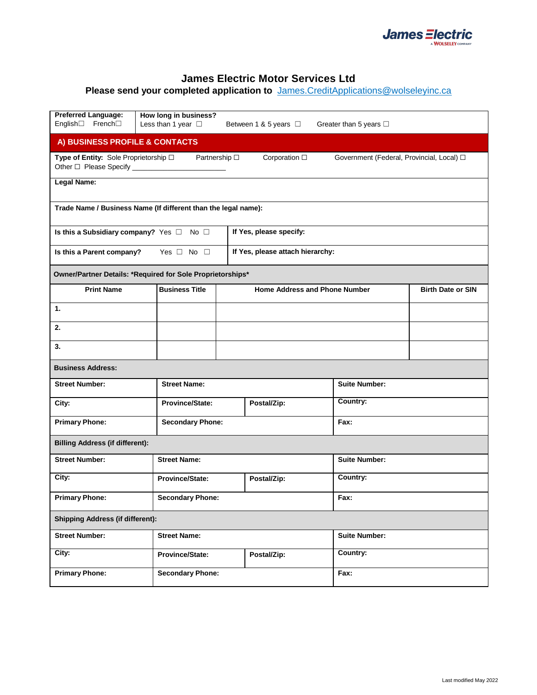

## **James Electric Motor Services Ltd**

## **Please send your completed application to** [James.CreditApplications@wolseleyinc.ca](mailto:acct@jameseletric.com)

| Preferred Language:<br>English<br>French                                                                                               | How long in business?<br>Less than 1 year $\Box$ | Between 1 & 5 years $\Box$       | Greater than 5 years $\Box$ |                          |  |  |
|----------------------------------------------------------------------------------------------------------------------------------------|--------------------------------------------------|----------------------------------|-----------------------------|--------------------------|--|--|
| A) BUSINESS PROFILE & CONTACTS                                                                                                         |                                                  |                                  |                             |                          |  |  |
| Type of Entity: Sole Proprietorship □<br>Partnership $\square$<br>Corporation $\Box$<br>Government (Federal, Provincial, Local) $\Box$ |                                                  |                                  |                             |                          |  |  |
| <b>Legal Name:</b>                                                                                                                     |                                                  |                                  |                             |                          |  |  |
| Trade Name / Business Name (If different than the legal name):                                                                         |                                                  |                                  |                             |                          |  |  |
| If Yes, please specify:<br>Is this a Subsidiary company? Yes □ No □                                                                    |                                                  |                                  |                             |                          |  |  |
| Is this a Parent company?                                                                                                              | Yes $\Box$ No $\Box$                             | If Yes, please attach hierarchy: |                             |                          |  |  |
| Owner/Partner Details: *Required for Sole Proprietorships*                                                                             |                                                  |                                  |                             |                          |  |  |
| <b>Print Name</b>                                                                                                                      | <b>Business Title</b>                            | Home Address and Phone Number    |                             | <b>Birth Date or SIN</b> |  |  |
| 1.                                                                                                                                     |                                                  |                                  |                             |                          |  |  |
| 2.                                                                                                                                     |                                                  |                                  |                             |                          |  |  |
| 3.                                                                                                                                     |                                                  |                                  |                             |                          |  |  |
| <b>Business Address:</b>                                                                                                               |                                                  |                                  |                             |                          |  |  |
| <b>Street Number:</b>                                                                                                                  | <b>Street Name:</b>                              |                                  | <b>Suite Number:</b>        |                          |  |  |
| City:                                                                                                                                  | <b>Province/State:</b>                           | Postal/Zip:                      | Country:                    |                          |  |  |
| <b>Primary Phone:</b>                                                                                                                  | <b>Secondary Phone:</b>                          |                                  |                             | Fax:                     |  |  |
| <b>Billing Address (if different):</b>                                                                                                 |                                                  |                                  |                             |                          |  |  |
| <b>Street Number:</b>                                                                                                                  | <b>Street Name:</b>                              |                                  |                             | <b>Suite Number:</b>     |  |  |
| City:                                                                                                                                  | <b>Province/State:</b>                           | Postal/Zip:                      | Country:                    |                          |  |  |
| <b>Primary Phone:</b>                                                                                                                  | <b>Secondary Phone:</b>                          |                                  |                             | Fax:                     |  |  |
| <b>Shipping Address (if different):</b>                                                                                                |                                                  |                                  |                             |                          |  |  |
| <b>Street Number:</b>                                                                                                                  | <b>Street Name:</b>                              |                                  |                             |                          |  |  |
| City:                                                                                                                                  | <b>Province/State:</b>                           | Postal/Zip:                      | Country:                    |                          |  |  |
| <b>Primary Phone:</b>                                                                                                                  | <b>Secondary Phone:</b>                          |                                  | Fax:                        |                          |  |  |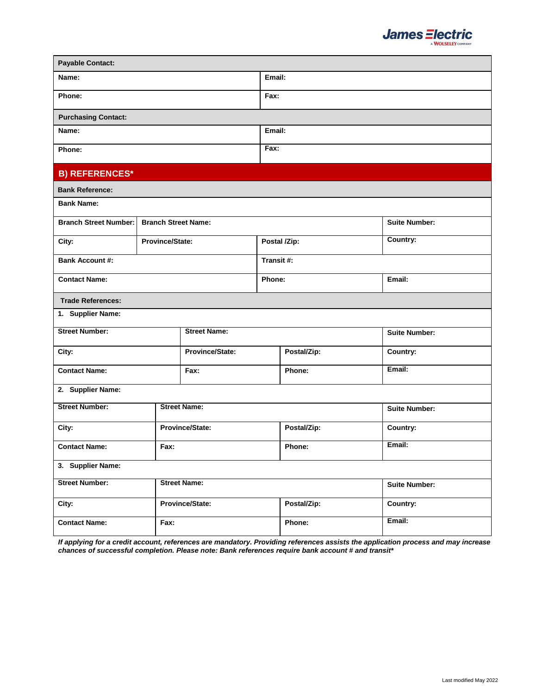

| <b>Payable Contact:</b>      |                            |                        |           |                      |                      |  |
|------------------------------|----------------------------|------------------------|-----------|----------------------|----------------------|--|
|                              |                            |                        |           |                      |                      |  |
| Name:                        |                            |                        | Email:    |                      |                      |  |
| Phone:                       |                            |                        |           | Fax:                 |                      |  |
| <b>Purchasing Contact:</b>   |                            |                        |           |                      |                      |  |
| Name:                        |                            | Email:                 |           |                      |                      |  |
| Phone:                       |                            | Fax:                   |           |                      |                      |  |
| <b>B) REFERENCES*</b>        |                            |                        |           |                      |                      |  |
| <b>Bank Reference:</b>       |                            |                        |           |                      |                      |  |
| <b>Bank Name:</b>            |                            |                        |           |                      |                      |  |
| <b>Branch Street Number:</b> | <b>Branch Street Name:</b> |                        |           | <b>Suite Number:</b> |                      |  |
| City:                        | Province/State:            |                        |           | Postal /Zip:         | Country:             |  |
| <b>Bank Account #:</b>       |                            |                        | Transit#: |                      |                      |  |
| <b>Contact Name:</b>         |                            |                        | Phone:    |                      | Email:               |  |
| <b>Trade References:</b>     |                            |                        |           |                      |                      |  |
|                              |                            |                        |           |                      |                      |  |
| 1. Supplier Name:            |                            |                        |           |                      |                      |  |
| <b>Street Number:</b>        |                            | <b>Street Name:</b>    |           |                      | <b>Suite Number:</b> |  |
| City:                        |                            | <b>Province/State:</b> |           | Postal/Zip:          | Country:             |  |
| <b>Contact Name:</b>         |                            | Fax:                   |           | Phone:               | Email:               |  |
| 2. Supplier Name:            |                            |                        |           |                      |                      |  |
| <b>Street Number:</b>        |                            | <b>Street Name:</b>    |           |                      | <b>Suite Number:</b> |  |
| City:                        |                            | Province/State:        |           | Postal/Zip:          | Country:             |  |
| <b>Contact Name:</b>         | Fax:                       |                        |           | Phone:               | Email:               |  |
| 3. Supplier Name:            |                            |                        |           |                      |                      |  |
| <b>Street Number:</b>        |                            | <b>Street Name:</b>    |           |                      | <b>Suite Number:</b> |  |
| City:                        |                            | Province/State:        |           | Postal/Zip:          | Country:             |  |

*If applying for a credit account, references are mandatory. Providing references assists the application process and may increase chances of successful completion. Please note: Bank references require bank account # and transit\**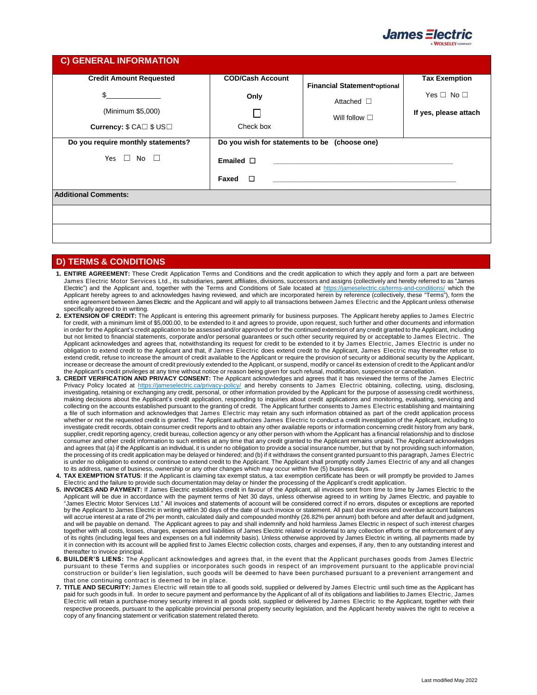

| <b>C) GENERAL INFORMATION</b>                                                       |                         |                                                                                 |                       |
|-------------------------------------------------------------------------------------|-------------------------|---------------------------------------------------------------------------------|-----------------------|
| <b>Credit Amount Requested</b>                                                      | <b>COD/Cash Account</b> | <b>Financial Statement*optional</b>                                             | <b>Tax Exemption</b>  |
| \$                                                                                  | Only                    | Attached $\square$                                                              | Yes $\Box$ No $\Box$  |
| (Minimum \$5,000)                                                                   |                         | Will follow $\Box$                                                              | If yes, please attach |
| Currency: $$ CA \square $ US \square$                                               | Check box               |                                                                                 |                       |
| Do you require monthly statements?<br>Do you wish for statements to be (choose one) |                         |                                                                                 |                       |
| Yes $\square$ No $\square$                                                          | Emailed $\Box$          | the contract of the contract of the contract of the contract of the contract of |                       |
|                                                                                     | Faxed<br>$\Box$         |                                                                                 |                       |
| <b>Additional Comments:</b>                                                         |                         |                                                                                 |                       |
|                                                                                     |                         |                                                                                 |                       |
|                                                                                     |                         |                                                                                 |                       |

## **D) TERMS & CONDITIONS**

- **1. ENTIRE AGREEMENT:** These Credit Application Terms and Conditions and the credit application to which they apply and form a part are between James Electric Motor Services Ltd., its subsidiaries, parent, affiliates, divisions, successors and assigns (collectively and hereby referred to as "James Electric") and the Applicant and, together with the Terms and Conditions of Sale located at <https://jameselectric.ca/terms-and-conditions/> which the Applicant hereby agrees to and acknowledges having reviewed, and which are incorporated herein by reference (collectively, these "Terms"), form the entire agreement between James Electric and the Applicant and will apply to all transactions between James Electric and the Applicant unless otherwise specifically agreed to in writing.
- **2. EXTENSION OF CREDIT:** The Applicant is entering this agreement primarily for business purposes. The Applicant hereby applies to James Electric for credit, with a minimum limit of \$5,000.00, to be extended to it and agrees to provide, upon request, such further and other documents and information in order for the Applicant's credit application to be assessed and/or approved or for the continued extension of any credit granted to the Applicant, including but not limited to financial statements, corporate and/or personal guarantees or such other security required by or acceptable to James Electric. The Applicant acknowledges and agrees that, notwithstanding its request for credit to be extended to it by James Electric, James Electric is under no<br>obligation to extend credit to the Applicant and that, if James Electric doe extend credit, refuse to increase the amount of credit available to the Applicant or require the provision of security or additional security by the Applicant,<br>increase or decrease the amount of credit previously extended the Applicant's credit privileges at any time without notice or reason being given for such refusal, modification, suspension or cancellation.
- **3. CREDIT VERIFICATION AND PRIVACY CONSENT:** The Applicant acknowledges and agrees that it has reviewed the terms of the James Electric Privacy Policy located at <https://jameselectric.ca/privacy-policy/> and hereby consents to James Electric obtaining, collecting, using, disclosing,<br>investigating, retaining or exchanging any credit, personal, or other infor making decisions about the Applicant's credit application, responding to inquiries about credit applications and monitoring, evaluating, servicing and<br>collecting on the accounts established pursuant to the granting of cred a file of such information and acknowledges that James Electric may retain any such information obtained as part of the credit application process whether or not the requested credit is granted. The Applicant authorizes James Electric to conduct a credit investigation of the Applicant, including to investigate credit records, obtain consumer credit reports and to obtain any other available reports or information concerning credit history from any bank, supplier, credit reporting agency, credit bureau, collection agency or any other person with whom the Applicant has a financial relationship and to disclose consumer and other credit information to such entities at any time that any credit granted to the Applicant remains unpaid. The Applicant acknowledges and agrees that (a) if the Applicant is an individual, it is under no obligation to provide a social insurance number, but that by not providing such information, the processing of its credit application may be delayed or hindered; and (b) if it withdraws the consent granted pursuant to this paragraph, James Electric is under no obligation to extend or continue to extend credit to the Applicant. The Applicant shall promptly notify James Electric of any and all changes to its address, name of business, ownership or any other changes which may occur within five (5) business days.
- **4. TAX EXEMPTION STATUS**: If the Applicant is claiming tax exempt status, a tax exemption certificate has been or will promptly be provided to James Electric and the failure to provide such documentation may delay or hinder the processing of the Applicant's credit application.
- **5. INVOICES AND PAYMENT:** If James Electric establishes credit in favour of the Applicant, all invoices sent from time to time by James Electric to the Applicant will be due in accordance with the payment terms of Net 30 days, unless otherwise agreed to in writing by James Electric, and payable to "James Electric Motor Services Ltd." All invoices and statements of account will be considered correct if no errors, disputes or exceptions are reported by the Applicant to James Electric in writing within 30 days of the date of such invoice or statement. All past due invoices and overdue account balances will accrue interest at a rate of 2% per month, calculated daily and compounded monthly (26.82% per annum) both before and after default and judgment, and will be payable on demand. The Applicant agrees to pay and shall indemnify and hold harmless James Electric in respect of such interest charges<br>together with all costs, losses, charges, expenses and liabilities of Jame of its rights (including legal fees and expenses on a full indemnity basis). Unless otherwise approved by James Electric in writing, all payments made by<br>it in connection with its account will be applied first to James Ele thereafter to invoice principal.
- **6. BUILDER'S LIENS:** The Applicant acknowledges and agrees that, in the event that the Applicant purchases goods from James Electric pursuant to these Terms and supplies or incorporates such goods in respect of an improvement pursuant to the applicable provi ncial construction or builder's lien legislation, such goods will be deemed to have been purchased pursuant to a prevenient arrangement and that one continuing contract is deemed to be in place.
- **7. TITLE AND SECURITY:** James Electric will retain title to all goods sold, supplied or delivered by James Electric until such time as the Applicant has paid for such goods in full. In order to secure payment and performance by the Applicant of all of its obligations and liabilities to James Electric, James Electric will retain a purchase-money security interest in all goods sold, supplied or delivered by James Electric to the Applicant, together with their respective proceeds, pursuant to the applicable provincial personal property security legislation, and the Applicant hereby waives the right to receive a copy of any financing statement or verification statement related thereto.